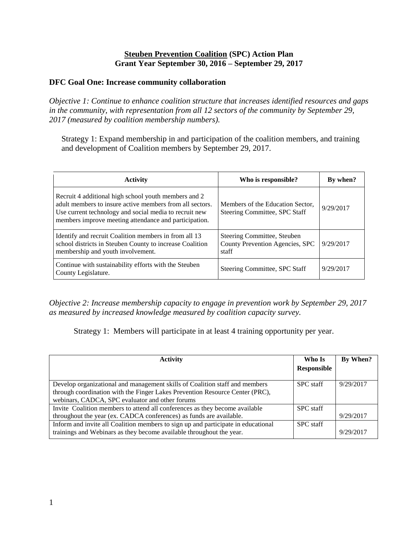#### **Steuben Prevention Coalition (SPC) Action Plan Grant Year September 30, 2016 – September 29, 2017**

#### **DFC Goal One: Increase community collaboration**

*Objective 1: Continue to enhance coalition structure that increases identified resources and gaps in the community, with representation from all 12 sectors of the community by September 29, 2017 (measured by coalition membership numbers).*

Strategy 1: Expand membership in and participation of the coalition members, and training and development of Coalition members by September 29, 2017.

| <b>Activity</b>                                                                                                                                                                                                                     | Who is responsible?                                                     | By when?  |
|-------------------------------------------------------------------------------------------------------------------------------------------------------------------------------------------------------------------------------------|-------------------------------------------------------------------------|-----------|
| Recruit 4 additional high school youth members and 2<br>adult members to insure active members from all sectors.<br>Use current technology and social media to recruit new<br>members improve meeting attendance and participation. | Members of the Education Sector,<br>Steering Committee, SPC Staff       | 9/29/2017 |
| Identify and recruit Coalition members in from all 13<br>school districts in Steuben County to increase Coalition<br>membership and youth involvement.                                                                              | Steering Committee, Steuben<br>County Prevention Agencies, SPC<br>staff | 9/29/2017 |
| Continue with sustainability efforts with the Steuben<br>County Legislature.                                                                                                                                                        | Steering Committee, SPC Staff                                           | 9/29/2017 |

*Objective 2: Increase membership capacity to engage in prevention work by September 29, 2017 as measured by increased knowledge measured by coalition capacity survey.*

Strategy 1: Members will participate in at least 4 training opportunity per year.

| Activity                                                                                                                                                                                                       | Who Is           | By When?  |
|----------------------------------------------------------------------------------------------------------------------------------------------------------------------------------------------------------------|------------------|-----------|
|                                                                                                                                                                                                                | Responsible      |           |
| Develop organizational and management skills of Coalition staff and members<br>through coordination with the Finger Lakes Prevention Resource Center (PRC),<br>webinars, CADCA, SPC evaluator and other forums | <b>SPC</b> staff | 9/29/2017 |
| Invite Coalition members to attend all conferences as they become available                                                                                                                                    | <b>SPC</b> staff |           |
| throughout the year (ex. CADCA conferences) as funds are available.                                                                                                                                            |                  | 9/29/2017 |
| Inform and invite all Coalition members to sign up and participate in educational<br>trainings and Webinars as they become available throughout the year.                                                      | <b>SPC</b> staff | 9/29/2017 |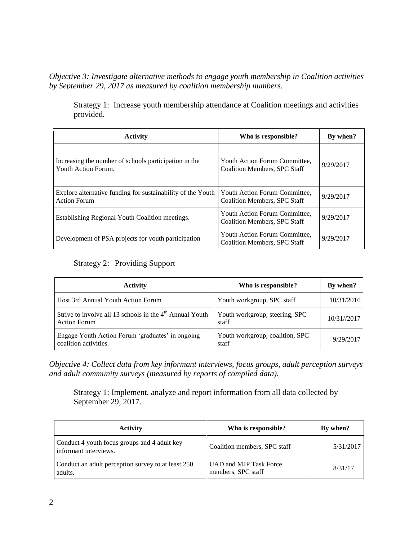*Objective 3: Investigate alternative methods to engage youth membership in Coalition activities by September 29, 2017 as measured by coalition membership numbers.*

Strategy 1: Increase youth membership attendance at Coalition meetings and activities provided*.*

| <b>Activity</b>                                                                    | Who is responsible?                                                  | By when?  |
|------------------------------------------------------------------------------------|----------------------------------------------------------------------|-----------|
| Increasing the number of schools participation in the<br>Youth Action Forum.       | Youth Action Forum Committee.<br><b>Coalition Members, SPC Staff</b> | 9/29/2017 |
| Explore alternative funding for sustainability of the Youth<br><b>Action Forum</b> | Youth Action Forum Committee,<br>Coalition Members, SPC Staff        | 9/29/2017 |
| Establishing Regional Youth Coalition meetings.                                    | Youth Action Forum Committee,<br>Coalition Members, SPC Staff        | 9/29/2017 |
| Development of PSA projects for youth participation                                | Youth Action Forum Committee,<br><b>Coalition Members, SPC Staff</b> | 9/29/2017 |

## Strategy 2: Providing Support

| <b>Activity</b>                                                                   | Who is responsible?                      | By when?    |
|-----------------------------------------------------------------------------------|------------------------------------------|-------------|
| Host 3rd Annual Youth Action Forum                                                | Youth workgroup, SPC staff               | 10/31/2016  |
| Strive to involve all 13 schools in the $4th$ Annual Youth<br><b>Action Forum</b> | Youth workgroup, steering, SPC<br>staff  | 10/31//2017 |
| Engage Youth Action Forum 'graduates' in ongoing<br>coalition activities.         | Youth workgroup, coalition, SPC<br>staff | 9/29/2017   |

*Objective 4: Collect data from key informant interviews, focus groups, adult perception surveys and adult community surveys (measured by reports of compiled data).*

Strategy 1: Implement, analyze and report information from all data collected by September 29, 2017.

| <b>Activity</b>                                                       | Who is responsible?                          | By when?  |
|-----------------------------------------------------------------------|----------------------------------------------|-----------|
| Conduct 4 youth focus groups and 4 adult key<br>informant interviews. | Coalition members, SPC staff                 | 5/31/2017 |
| Conduct an adult perception survey to at least 250<br>adults.         | UAD and MJP Task Force<br>members, SPC staff | 8/31/17   |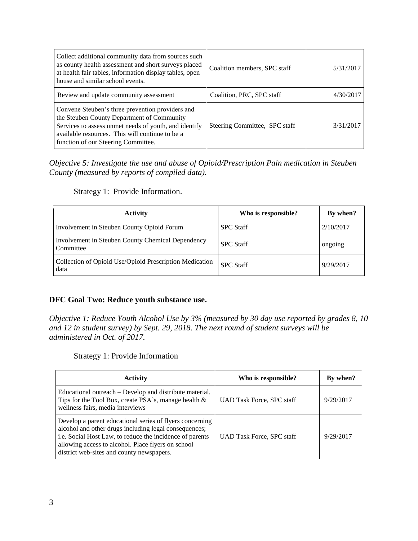| Collect additional community data from sources such<br>as county health assessment and short surveys placed<br>at health fair tables, information display tables, open<br>house and similar school events.                                        | Coalition members, SPC staff  | 5/31/2017 |
|---------------------------------------------------------------------------------------------------------------------------------------------------------------------------------------------------------------------------------------------------|-------------------------------|-----------|
| Review and update community assessment                                                                                                                                                                                                            | Coalition, PRC, SPC staff     | 4/30/2017 |
| Convene Steuben's three prevention providers and<br>the Steuben County Department of Community<br>Services to assess unmet needs of youth, and identify<br>available resources. This will continue to be a<br>function of our Steering Committee. | Steering Committee, SPC staff | 3/31/2017 |

*Objective 5: Investigate the use and abuse of Opioid/Prescription Pain medication in Steuben County (measured by reports of compiled data).*

Strategy 1: Provide Information.

| <b>Activity</b>                                                 | Who is responsible? | By when?  |
|-----------------------------------------------------------------|---------------------|-----------|
| Involvement in Steuben County Opioid Forum                      | <b>SPC Staff</b>    | 2/10/2017 |
| Involvement in Steuben County Chemical Dependency<br>Committee  | <b>SPC Staff</b>    | ongoing   |
| Collection of Opioid Use/Opioid Prescription Medication<br>data | <b>SPC</b> Staff    | 9/29/2017 |

#### **DFC Goal Two: Reduce youth substance use.**

*Objective 1: Reduce Youth Alcohol Use by 3% (measured by 30 day use reported by grades 8, 10 and 12 in student survey) by Sept. 29, 2018. The next round of student surveys will be administered in Oct. of 2017.*

Strategy 1: Provide Information

| <b>Activity</b>                                                                                                                                                                                                                                                                  | Who is responsible?              | By when?  |
|----------------------------------------------------------------------------------------------------------------------------------------------------------------------------------------------------------------------------------------------------------------------------------|----------------------------------|-----------|
| Educational outreach – Develop and distribute material,<br>Tips for the Tool Box, create PSA's, manage health &<br>wellness fairs, media interviews                                                                                                                              | <b>UAD Task Force, SPC staff</b> | 9/29/2017 |
| Develop a parent educational series of flyers concerning<br>alcohol and other drugs including legal consequences;<br>i.e. Social Host Law, to reduce the incidence of parents<br>allowing access to alcohol. Place flyers on school<br>district web-sites and county newspapers. | UAD Task Force, SPC staff        | 9/29/2017 |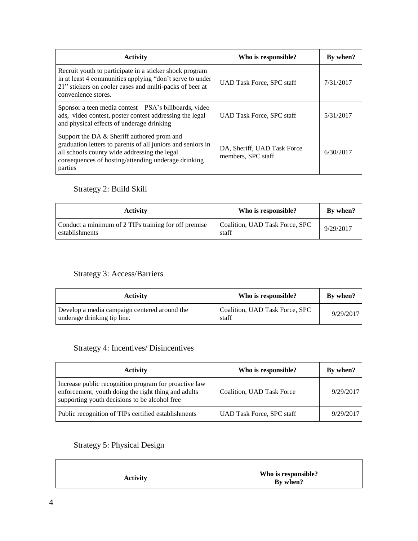| <b>Activity</b>                                                                                                                                                                                                             | Who is responsible?                               | By when?  |
|-----------------------------------------------------------------------------------------------------------------------------------------------------------------------------------------------------------------------------|---------------------------------------------------|-----------|
| Recruit youth to participate in a sticker shock program<br>in at least 4 communities applying "don't serve to under<br>21" stickers on cooler cases and multi-packs of beer at<br>convenience stores.                       | <b>UAD Task Force, SPC staff</b>                  | 7/31/2017 |
| Sponsor a teen media contest – PSA's billboards, video<br>ads, video contest, poster contest addressing the legal<br>and physical effects of underage drinking                                                              | <b>UAD Task Force, SPC staff</b>                  | 5/31/2017 |
| Support the DA & Sheriff authored prom and<br>graduation letters to parents of all juniors and seniors in<br>all schools county wide addressing the legal<br>consequences of hosting/attending underage drinking<br>parties | DA, Sheriff, UAD Task Force<br>members, SPC staff | 6/30/2017 |

## Strategy 2: Build Skill

| <b>Activity</b>                                                        | Who is responsible?                     | By when?  |
|------------------------------------------------------------------------|-----------------------------------------|-----------|
| Conduct a minimum of 2 TIPs training for off premise<br>establishments | Coalition, UAD Task Force, SPC<br>staff | 9/29/2017 |

## Strategy 3: Access/Barriers

| <b>Activity</b>                                                             | Who is responsible?                     | By when?  |
|-----------------------------------------------------------------------------|-----------------------------------------|-----------|
| Develop a media campaign centered around the<br>underage drinking tip line. | Coalition, UAD Task Force, SPC<br>staff | 9/29/2017 |

## Strategy 4: Incentives/ Disincentives

| <b>Activity</b>                                                                                                                                               | Who is responsible?              | By when?  |
|---------------------------------------------------------------------------------------------------------------------------------------------------------------|----------------------------------|-----------|
| Increase public recognition program for proactive law<br>enforcement, youth doing the right thing and adults<br>supporting youth decisions to be alcohol free | Coalition, UAD Task Force        | 9/29/2017 |
| Public recognition of TIPs certified establishments                                                                                                           | <b>UAD Task Force, SPC staff</b> | 9/29/2017 |

# Strategy 5: Physical Design

| <b>Activity</b> | Who is responsible?<br>By when? |
|-----------------|---------------------------------|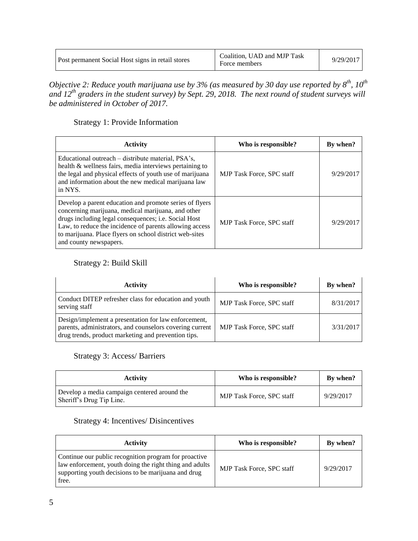| Post permanent Social Host signs in retail stores | Coalition, UAD and MJP Task<br>Force members | 9/29/2017 |  |
|---------------------------------------------------|----------------------------------------------|-----------|--|
|---------------------------------------------------|----------------------------------------------|-----------|--|

*Objective 2: Reduce youth marijuana use by 3% (as measured by 30 day use reported by 8 th , 10th and 12th graders in the student survey) by Sept. 29, 2018. The next round of student surveys will be administered in October of 2017.*

Strategy 1: Provide Information

| <b>Activity</b>                                                                                                                                                                                                                                                                                                       | Who is responsible?              | By when?  |
|-----------------------------------------------------------------------------------------------------------------------------------------------------------------------------------------------------------------------------------------------------------------------------------------------------------------------|----------------------------------|-----------|
| Educational outreach – distribute material, PSA's,<br>health & wellness fairs, media interviews pertaining to<br>the legal and physical effects of youth use of marijuana<br>and information about the new medical marijuana law<br>in NYS.                                                                           | <b>MJP Task Force, SPC staff</b> | 9/29/2017 |
| Develop a parent education and promote series of flyers<br>concerning marijuana, medical marijuana, and other<br>drugs including legal consequences; i.e. Social Host<br>Law, to reduce the incidence of parents allowing access<br>to marijuana. Place flyers on school district web-sites<br>and county newspapers. | <b>MJP</b> Task Force, SPC staff | 9/29/2017 |

### Strategy 2: Build Skill

| <b>Activity</b>                                                                                                                                                         | Who is responsible?              | By when?  |
|-------------------------------------------------------------------------------------------------------------------------------------------------------------------------|----------------------------------|-----------|
| Conduct DITEP refresher class for education and youth<br>serving staff                                                                                                  | <b>MJP Task Force, SPC staff</b> | 8/31/2017 |
| Design/implement a presentation for law enforcement,<br>parents, administrators, and counselors covering current<br>drug trends, product marketing and prevention tips. | <b>MJP Task Force, SPC staff</b> | 3/31/2017 |

### Strategy 3: Access/ Barriers

| Activity                                                                 | Who is responsible?              | By when?  |
|--------------------------------------------------------------------------|----------------------------------|-----------|
| Develop a media campaign centered around the<br>Sheriff's Drug Tip Line. | <b>MJP Task Force, SPC staff</b> | 9/29/2017 |

### Strategy 4: Incentives/ Disincentives

| <b>Activity</b>                                                                                                                                                                  | Who is responsible?              | By when?  |
|----------------------------------------------------------------------------------------------------------------------------------------------------------------------------------|----------------------------------|-----------|
| Continue our public recognition program for proactive<br>law enforcement, youth doing the right thing and adults<br>supporting youth decisions to be marijuana and drug<br>free. | <b>MJP Task Force, SPC staff</b> | 9/29/2017 |